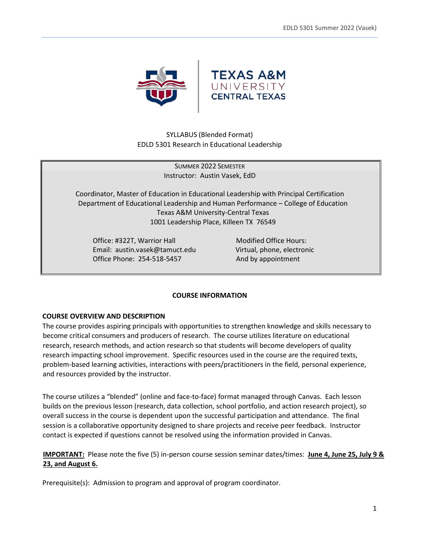

SYLLABUS (Blended Format) EDLD 5301 Research in Educational Leadership

> SUMMER 2022 SEMESTER Instructor: Austin Vasek, EdD

Coordinator, Master of Education in Educational Leadership with Principal Certification Department of Educational Leadership and Human Performance – College of Education Texas A&M University-Central Texas 1001 Leadership Place, Killeen TX 76549

Office: #322T, Warrior Hall Modified Office Hours: Email: austin.vasek@tamuct.edu Virtual, phone, electronic Office Phone: 254-518-5457 And by appointment

## **COURSE INFORMATION**

## **COURSE OVERVIEW AND DESCRIPTION**

The course provides aspiring principals with opportunities to strengthen knowledge and skills necessary to become critical consumers and producers of research. The course utilizes literature on educational research, research methods, and action research so that students will become developers of quality research impacting school improvement. Specific resources used in the course are the required texts, problem-based learning activities, interactions with peers/practitioners in the field, personal experience, and resources provided by the instructor.

The course utilizes a "blended" (online and face-to-face) format managed through Canvas. Each lesson builds on the previous lesson (research, data collection, school portfolio, and action research project), so overall success in the course is dependent upon the successful participation and attendance. The final session is a collaborative opportunity designed to share projects and receive peer feedback. Instructor contact is expected if questions cannot be resolved using the information provided in Canvas.

**IMPORTANT:** Please note the five (5) in-person course session seminar dates/times: **June 4, June 25, July 9 & 23, and August 6.**

Prerequisite(s): Admission to program and approval of program coordinator.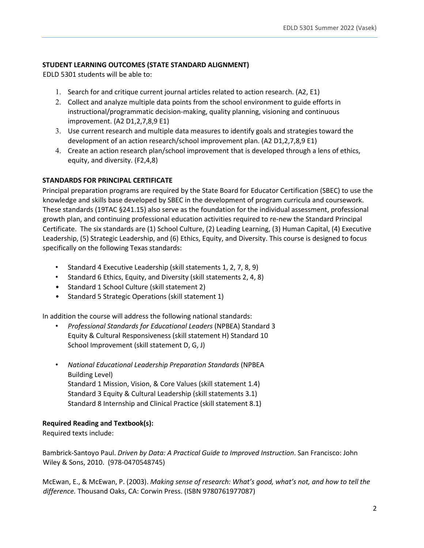# **STUDENT LEARNING OUTCOMES (STATE STANDARD ALIGNMENT)**

EDLD 5301 students will be able to:

- 1. Search for and critique current journal articles related to action research. (A2, E1)
- 2. Collect and analyze multiple data points from the school environment to guide efforts in instructional/programmatic decision-making, quality planning, visioning and continuous improvement. (A2 D1,2,7,8,9 E1)
- 3. Use current research and multiple data measures to identify goals and strategies toward the development of an action research/school improvement plan. (A2 D1,2,7,8,9 E1)
- 4. Create an action research plan/school improvement that is developed through a lens of ethics, equity, and diversity. (F2,4,8)

## **STANDARDS FOR PRINCIPAL CERTIFICATE**

Principal preparation programs are required by the State Board for Educator Certification (SBEC) to use the knowledge and skills base developed by SBEC in the development of program curricula and coursework. These standards (19TAC §241.15) also serve as the foundation for the individual assessment, professional growth plan, and continuing professional education activities required to re-new the Standard Principal Certificate. The six standards are (1) School Culture, (2) Leading Learning, (3) Human Capital, (4) Executive Leadership, (5) Strategic Leadership, and (6) Ethics, Equity, and Diversity. This course is designed to focus specifically on the following Texas standards:

- Standard 4 Executive Leadership (skill statements 1, 2, 7, 8, 9)
- Standard 6 Ethics, Equity, and Diversity (skill statements 2, 4, 8)
- Standard 1 School Culture (skill statement 2)
- Standard 5 Strategic Operations (skill statement 1)

In addition the course will address the following national standards:

- *Professional Standards for Educational Leaders* (NPBEA) Standard 3 Equity & Cultural Responsiveness (skill statement H) Standard 10 School Improvement (skill statement D, G, J)
- *National Educational Leadership Preparation Standards* (NPBEA Building Level) Standard 1 Mission, Vision, & Core Values (skill statement 1.4) Standard 3 Equity & Cultural Leadership (skill statements 3.1) Standard 8 Internship and Clinical Practice (skill statement 8.1)

## **Required Reading and Textbook(s):**

Required texts include:

Bambrick-Santoyo Paul. *Driven by Data: A Practical Guide to Improved Instruction*. San Francisco: John Wiley & Sons, 2010. (978-0470548745)

McEwan, E., & McEwan, P. (2003). *Making sense of research: What's good, what's not, and how to tell the difference.* Thousand Oaks, CA: Corwin Press. (ISBN 9780761977087)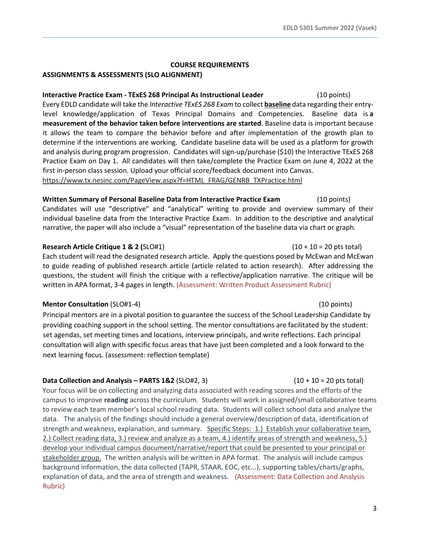#### **COURSE REQUIREMENTS**

#### **ASSIGNMENTS & ASSESSMENTS (SLO ALIGNMENT)**

## **Interactive Practice Exam - TExES 268 Principal As Instructional Leader** (10 points)

Every EDLD candidate will take the *Interactive TExES 268 Exam* to collect **baseline** data regarding their entrylevel knowledge/application of Texas Principal Domains and Competencies. Baseline data is **a measurement of the behavior taken before interventions are started**. Baseline data is important because it allows the team to compare the behavior before and after implementation of the growth plan to determine if the interventions are working. Candidate baseline data will be used as a platform for growth and analysis during program progression. Candidates will sign-up/purchase (\$10) the Interactive TExES 268 Practice Exam on Day 1. All candidates will then take/complete the Practice Exam on June 4, 2022 at the first in-person class session. Upload your official score/feedback document into Canvas. https://www.tx.nesinc.com/PageView.aspx?f=HTML\_FRAG/GENRB\_TXPractice.html

# **Written Summary of Personal Baseline Data from Interactive Practice Exam** (10 points)

Candidates will use "descriptive" and "analytical" writing to provide and overview summary of their individual baseline data from the Interactive Practice Exam. In addition to the descriptive and analytical narrative, the paper will also include a "visual" representation of the baseline data via chart or graph.

## **Research Article Critique 1 & 2 (**SLO#1)(10 + 10 = 20 pts total)

Each student will read the designated research article. Apply the questions posed by McEwan and McEwan to guide reading of published research article (article related to action research). After addressing the questions, the student will finish the critique with a reflective/application narrative. The critique will be written in APA format, 3-4 pages in length. (Assessment: Written Product Assessment Rubric)

## **Mentor Consultation** (SLO#1-4)(10 points)

Principal mentors are in a pivotal position to guarantee the success of the School Leadership Candidate by providing coaching support in the school setting. The mentor consultations are facilitated by the student: set agendas, set meeting times and locations, interview principals, and write reflections. Each principal consultation will align with specific focus areas that have just been completed and a look forward to the next learning focus. (assessment: reflection template)

# **Data Collection and Analysis – PARTS 1&2** (SLO#2, 3) (10 + 10 = 20 pts total)

Your focus will be on collecting and analyzing data associated with reading scores and the efforts of the campus to improve **reading** across the curriculum. Students will work in assigned/small collaborative teams to review each team member's local school reading data. Students will collect school data and analyze the data. The analysis of the findings should include a general overview/description of data, identification of strength and weakness, explanation, and summary. Specific Steps: 1.) Establish your collaborative team, 2.) Collect reading data, 3.) review and analyze as a team, 4.) identify areas of strength and weakness, 5.) develop your individual campus document/narrative/report that could be presented to your principal or stakeholder group. The written analysis will be written in APA format. The analysis will include campus background information, the data collected (TAPR, STAAR, EOC, etc...), supporting tables/charts/graphs, explanation of data, and the area of strength and weakness. (Assessment: Data Collection and Analysis Rubric)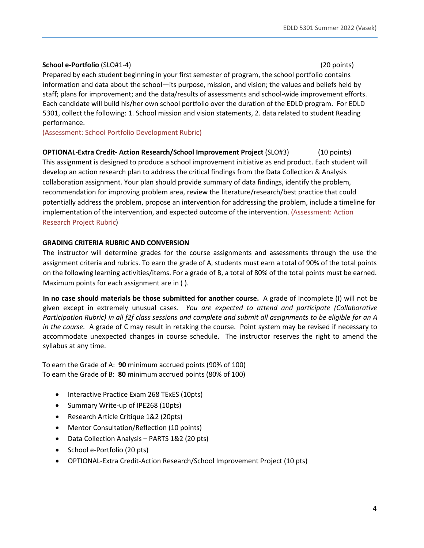## **School e-Portfolio** (SLO#1-4)(20 points)

Prepared by each student beginning in your first semester of program, the school portfolio contains information and data about the school—its purpose, mission, and vision; the values and beliefs held by staff; plans for improvement; and the data/results of assessments and school-wide improvement efforts. Each candidate will build his/her own school portfolio over the duration of the EDLD program. For EDLD 5301, collect the following: 1. School mission and vision statements, 2. data related to student Reading performance.

(Assessment: School Portfolio Development Rubric)

**OPTIONAL-Extra Credit- Action Research/School Improvement Project** (SLO#3) (10 points) This assignment is designed to produce a school improvement initiative as end product. Each student will develop an action research plan to address the critical findings from the Data Collection & Analysis collaboration assignment. Your plan should provide summary of data findings, identify the problem, recommendation for improving problem area, review the literature/research/best practice that could potentially address the problem, propose an intervention for addressing the problem, include a timeline for implementation of the intervention, and expected outcome of the intervention. (Assessment: Action Research Project Rubric)

# **GRADING CRITERIA RUBRIC AND CONVERSION**

The instructor will determine grades for the course assignments and assessments through the use the assignment criteria and rubrics. To earn the grade of A, students must earn a total of 90% of the total points on the following learning activities/items. For a grade of B, a total of 80% of the total points must be earned. Maximum points for each assignment are in ( ).

**In no case should materials be those submitted for another course.** A grade of Incomplete (I) will not be given except in extremely unusual cases. *You are expected to attend and participate (Collaborative Participation Rubric) in all f2f class sessions and complete and submit all assignments to be eligible for an A in the course.* A grade of C may result in retaking the course. Point system may be revised if necessary to accommodate unexpected changes in course schedule. The instructor reserves the right to amend the syllabus at any time.

To earn the Grade of A: **90** minimum accrued points (90% of 100) To earn the Grade of B: **80** minimum accrued points (80% of 100)

- Interactive Practice Exam 268 TExES (10pts)
- Summary Write-up of IPE268 (10pts)
- Research Article Critique 1&2 (20pts)
- Mentor Consultation/Reflection (10 points)
- Data Collection Analysis PARTS 1&2 (20 pts)
- School e-Portfolio (20 pts)
- OPTIONAL-Extra Credit-Action Research/School Improvement Project (10 pts)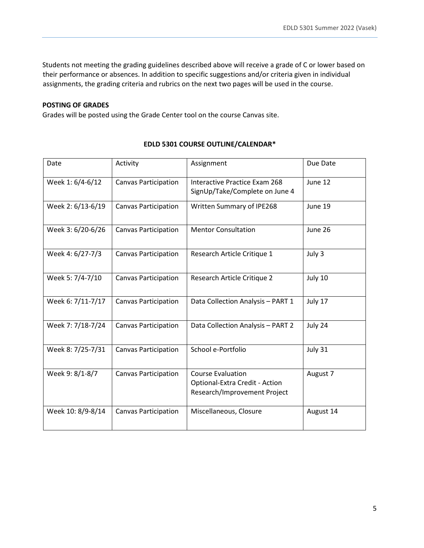Students not meeting the grading guidelines described above will receive a grade of C or lower based on their performance or absences. In addition to specific suggestions and/or criteria given in individual assignments, the grading criteria and rubrics on the next two pages will be used in the course.

## **POSTING OF GRADES**

Grades will be posted using the Grade Center tool on the course Canvas site.

| Date              | Activity                    | Assignment                                                                                 | Due Date  |
|-------------------|-----------------------------|--------------------------------------------------------------------------------------------|-----------|
| Week 1: 6/4-6/12  | <b>Canvas Participation</b> | Interactive Practice Exam 268<br>SignUp/Take/Complete on June 4                            | June 12   |
| Week 2: 6/13-6/19 | <b>Canvas Participation</b> | Written Summary of IPE268                                                                  | June 19   |
| Week 3: 6/20-6/26 | <b>Canvas Participation</b> | <b>Mentor Consultation</b>                                                                 | June 26   |
| Week 4: 6/27-7/3  | <b>Canvas Participation</b> | Research Article Critique 1                                                                | July 3    |
| Week 5: 7/4-7/10  | <b>Canvas Participation</b> | Research Article Critique 2                                                                | July 10   |
| Week 6: 7/11-7/17 | <b>Canvas Participation</b> | Data Collection Analysis - PART 1                                                          | July 17   |
| Week 7: 7/18-7/24 | <b>Canvas Participation</b> | Data Collection Analysis - PART 2                                                          | July 24   |
| Week 8: 7/25-7/31 | <b>Canvas Participation</b> | School e-Portfolio                                                                         | July 31   |
| Week 9: 8/1-8/7   | <b>Canvas Participation</b> | <b>Course Evaluation</b><br>Optional-Extra Credit - Action<br>Research/Improvement Project | August 7  |
| Week 10: 8/9-8/14 | <b>Canvas Participation</b> | Miscellaneous, Closure                                                                     | August 14 |

## **EDLD 5301 COURSE OUTLINE/CALENDAR\***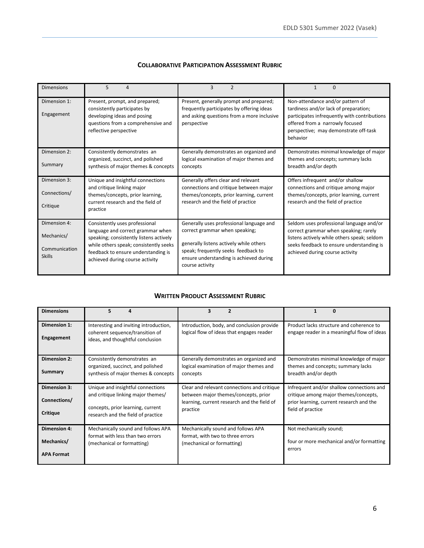## **COLLABORATIVE PARTICIPATION ASSESSMENT RUBRIC**

| <b>Dimensions</b>                                            | 5<br>4                                                                                                                                                                                                                             | 3<br>$\mathfrak{p}$                                                                                                                                                                                                        |                                                                                                                                                                                                                   |
|--------------------------------------------------------------|------------------------------------------------------------------------------------------------------------------------------------------------------------------------------------------------------------------------------------|----------------------------------------------------------------------------------------------------------------------------------------------------------------------------------------------------------------------------|-------------------------------------------------------------------------------------------------------------------------------------------------------------------------------------------------------------------|
| Dimension 1:<br>Engagement                                   | Present, prompt, and prepared;<br>consistently participates by<br>developing ideas and posing<br>questions from a comprehensive and<br>reflective perspective                                                                      | Present, generally prompt and prepared;<br>frequently participates by offering ideas<br>and asking questions from a more inclusive<br>perspective                                                                          | Non-attendance and/or pattern of<br>tardiness and/or lack of preparation;<br>participates infrequently with contributions<br>offered from a narrowly focused<br>perspective; may demonstrate off-task<br>behavior |
| Dimension 2:<br>Summary                                      | Consistently demonstrates an<br>organized, succinct, and polished<br>synthesis of major themes & concepts                                                                                                                          | Generally demonstrates an organized and<br>logical examination of major themes and<br>concepts                                                                                                                             | Demonstrates minimal knowledge of major<br>themes and concepts; summary lacks<br>breadth and/or depth                                                                                                             |
| Dimension 3:<br>Connections/<br>Critique                     | Unique and insightful connections<br>and critique linking major<br>themes/concepts, prior learning,<br>current research and the field of<br>practice                                                                               | Generally offers clear and relevant<br>connections and critique between major<br>themes/concepts, prior learning, current<br>research and the field of practice                                                            | Offers infrequent and/or shallow<br>connections and critique among major<br>themes/concepts, prior learning, current<br>research and the field of practice                                                        |
| Dimension 4:<br>Mechanics/<br>Communication<br><b>Skills</b> | Consistently uses professional<br>language and correct grammar when<br>speaking; consistently listens actively<br>while others speak; consistently seeks<br>feedback to ensure understanding is<br>achieved during course activity | Generally uses professional language and<br>correct grammar when speaking;<br>generally listens actively while others<br>speak; frequently seeks feedback to<br>ensure understanding is achieved during<br>course activity | Seldom uses professional language and/or<br>correct grammar when speaking; rarely<br>listens actively while others speak; seldom<br>seeks feedback to ensure understanding is<br>achieved during course activity  |

#### **WRITTEN PRODUCT ASSESSMENT RUBRIC**

| <b>Dimensions</b>                               | 5<br>4                                                                                                                                             | $\overline{2}$<br>3                                                                                                                            | 0                                                                                                                                                   |
|-------------------------------------------------|----------------------------------------------------------------------------------------------------------------------------------------------------|------------------------------------------------------------------------------------------------------------------------------------------------|-----------------------------------------------------------------------------------------------------------------------------------------------------|
| Dimension 1:<br>Engagement                      | Interesting and inviting introduction,<br>coherent sequence/transition of<br>ideas, and thoughtful conclusion                                      | Introduction, body, and conclusion provide<br>logical flow of ideas that engages reader                                                        | Product lacks structure and coherence to<br>engage reader in a meaningful flow of ideas                                                             |
| <b>Dimension 2:</b><br>Summary                  | Consistently demonstrates an<br>organized, succinct, and polished<br>synthesis of major themes & concepts                                          | Generally demonstrates an organized and<br>logical examination of major themes and<br>concepts                                                 | Demonstrates minimal knowledge of major<br>themes and concepts; summary lacks<br>breadth and/or depth                                               |
| Dimension 3:<br>Connections/<br>Critique        | Unique and insightful connections<br>and critique linking major themes/<br>concepts, prior learning, current<br>research and the field of practice | Clear and relevant connections and critique<br>between major themes/concepts, prior<br>learning, current research and the field of<br>practice | Infrequent and/or shallow connections and<br>critique among major themes/concepts,<br>prior learning, current research and the<br>field of practice |
| Dimension 4:<br>Mechanics/<br><b>APA Format</b> | Mechanically sound and follows APA<br>format with less than two errors<br>(mechanical or formatting)                                               | Mechanically sound and follows APA<br>format, with two to three errors<br>(mechanical or formatting)                                           | Not mechanically sound;<br>four or more mechanical and/or formatting<br>errors                                                                      |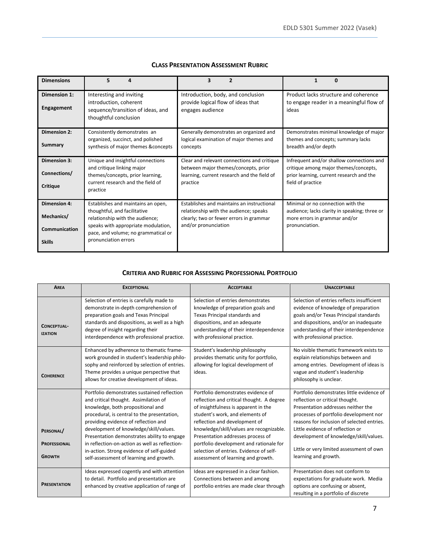| <b>Dimensions</b>                                                   | 5<br>Δ                                                                                                                                                                                                      | 3                                                                                                                                                       |                                                                                                                                                     |
|---------------------------------------------------------------------|-------------------------------------------------------------------------------------------------------------------------------------------------------------------------------------------------------------|---------------------------------------------------------------------------------------------------------------------------------------------------------|-----------------------------------------------------------------------------------------------------------------------------------------------------|
| Dimension 1:<br><b>Engagement</b>                                   | Interesting and inviting<br>introduction, coherent<br>sequence/transition of ideas, and<br>thoughtful conclusion                                                                                            | Introduction, body, and conclusion<br>provide logical flow of ideas that<br>engages audience                                                            | Product lacks structure and coherence<br>to engage reader in a meaningful flow of<br>ideas                                                          |
| <b>Dimension 2:</b><br>Summary                                      | Consistently demonstrates an<br>organized, succinct, and polished<br>synthesis of major themes & concepts                                                                                                   | Generally demonstrates an organized and<br>logical examination of major themes and<br>concepts                                                          | Demonstrates minimal knowledge of major<br>themes and concepts; summary lacks<br>breadth and/or depth                                               |
| <b>Dimension 3:</b><br>Connections/<br>Critique                     | Unique and insightful connections<br>and critique linking major<br>themes/concepts, prior learning,<br>current research and the field of<br>practice                                                        | Clear and relevant connections and critique<br>between major themes/concepts, prior<br>learning, current research and the field of<br>practice          | Infrequent and/or shallow connections and<br>critique among major themes/concepts,<br>prior learning, current research and the<br>field of practice |
| <b>Dimension 4:</b><br>Mechanics/<br>Communication<br><b>Skills</b> | Establishes and maintains an open,<br>thoughtful, and facilitative<br>relationship with the audience;<br>speaks with appropriate modulation,<br>pace, and volume; no grammatical or<br>pronunciation errors | Establishes and maintains an instructional<br>relationship with the audience; speaks<br>clearly; two or fewer errors in grammar<br>and/or pronunciation | Minimal or no connection with the<br>audience; lacks clarity in speaking; three or<br>more errors in grammar and/or<br>pronunciation.               |

## **CLASS PRESENTATION ASSESSMENT RUBRIC**

#### **CRITERIA AND RUBRIC FOR ASSESSING PROFESSIONAL PORTFOLIO**

| <b>AREA</b>                                       | <b>EXCEPTIONAL</b>                                                                                                                                                                                                                                                                                                                                                                                                                                  | <b>ACCEPTABLE</b>                                                                                                                                                                                                                                                                                                                                                                                        | <b>UNACCEPTABLE</b>                                                                                                                                                                                                                                                                                                                                          |
|---------------------------------------------------|-----------------------------------------------------------------------------------------------------------------------------------------------------------------------------------------------------------------------------------------------------------------------------------------------------------------------------------------------------------------------------------------------------------------------------------------------------|----------------------------------------------------------------------------------------------------------------------------------------------------------------------------------------------------------------------------------------------------------------------------------------------------------------------------------------------------------------------------------------------------------|--------------------------------------------------------------------------------------------------------------------------------------------------------------------------------------------------------------------------------------------------------------------------------------------------------------------------------------------------------------|
| <b>CONCEPTUAL-</b><br><b>IZATION</b>              | Selection of entries is carefully made to<br>demonstrate in-depth comprehension of<br>preparation goals and Texas Principal<br>standards and dispositions, as well as a high<br>degree of insight regarding their<br>interdependence with professional practice.                                                                                                                                                                                    | Selection of entries demonstrates<br>knowledge of preparation goals and<br>Texas Principal standards and<br>dispositions, and an adequate<br>understanding of their interdependence<br>with professional practice.                                                                                                                                                                                       | Selection of entries reflects insufficient<br>evidence of knowledge of preparation<br>goals and/or Texas Principal standards<br>and dispositions, and/or an inadequate<br>understanding of their interdependence<br>with professional practice.                                                                                                              |
| <b>COHERENCE</b>                                  | Enhanced by adherence to thematic frame-<br>work grounded in student's leadership philo-<br>sophy and reinforced by selection of entries.<br>Theme provides a unique perspective that<br>allows for creative development of ideas.                                                                                                                                                                                                                  | Student's leadership philosophy<br>provides thematic unity for portfolio,<br>allowing for logical development of<br>ideas.                                                                                                                                                                                                                                                                               | No visible thematic framework exists to<br>explain relationships between and<br>among entries. Development of ideas is<br>vague and student's leadership<br>philosophy is unclear.                                                                                                                                                                           |
| PERSONAL/<br><b>PROFESSIONAL</b><br><b>GROWTH</b> | Portfolio demonstrates sustained reflection<br>and critical thought. Assimilation of<br>knowledge, both propositional and<br>procedural, is central to the presentation,<br>providing evidence of reflection and<br>development of knowledge/skill/values.<br>Presentation demonstrates ability to engage<br>in reflection-on-action as well as reflection-<br>in-action. Strong evidence of self-guided<br>self-assessment of learning and growth. | Portfolio demonstrates evidence of<br>reflection and critical thought. A degree<br>of insightfulness is apparent in the<br>student's work, and elements of<br>reflection and development of<br>knowledge/skill/values are recognizable.<br>Presentation addresses process of<br>portfolio development and rationale for<br>selection of entries. Evidence of self-<br>assessment of learning and growth. | Portfolio demonstrates little evidence of<br>reflection or critical thought.<br>Presentation addresses neither the<br>processes of portfolio development nor<br>reasons for inclusion of selected entries.<br>Little evidence of reflection or<br>development of knowledge/skill/values.<br>Little or very limited assessment of own<br>learning and growth. |
| <b>PRESENTATION</b>                               | Ideas expressed cogently and with attention<br>to detail. Portfolio and presentation are<br>enhanced by creative application of range of                                                                                                                                                                                                                                                                                                            | Ideas are expressed in a clear fashion.<br>Connections between and among<br>portfolio entries are made clear through                                                                                                                                                                                                                                                                                     | Presentation does not conform to<br>expectations for graduate work. Media<br>options are confusing or absent,<br>resulting in a portfolio of discrete                                                                                                                                                                                                        |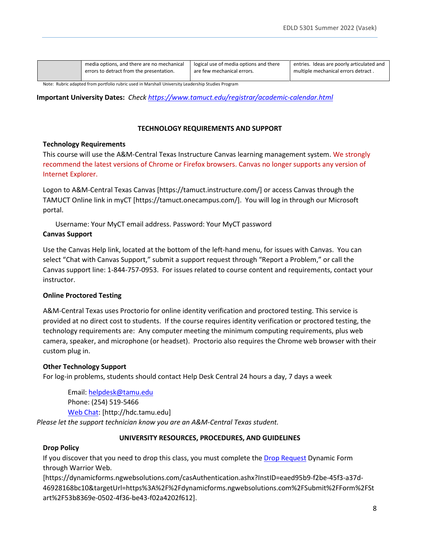| media options, and there are no mechanical | logical use of media options and there | entries. Ideas are poorly articulated and |
|--------------------------------------------|----------------------------------------|-------------------------------------------|
| errors to detract from the presentation.   | are few mechanical errors.             | multiple mechanical errors detract.       |
|                                            |                                        |                                           |

Note: Rubric adapted from portfolio rubric used in Marshall University Leadership Studies Program

**Important University Dates:** *Check<https://www.tamuct.edu/registrar/academic-calendar.html>*

#### **TECHNOLOGY REQUIREMENTS AND SUPPORT**

#### **Technology Requirements**

This course will use the A&M-Central Texas Instructure Canvas learning management system. We strongly recommend the latest versions of Chrome or Firefox browsers. Canvas no longer supports any version of Internet Explorer.

Logon to A&M-Central Texas Canvas [https://tamuct.instructure.com/] or access Canvas through the TAMUCT Online link in myCT [https://tamuct.onecampus.com/]. You will log in through our Microsoft portal.

Username: Your MyCT email address. Password: Your MyCT password **Canvas Support**

Use the Canvas Help link, located at the bottom of the left-hand menu, for issues with Canvas. You can select "Chat with Canvas Support," submit a support request through "Report a Problem," or call the Canvas support line: 1-844-757-0953. For issues related to course content and requirements, contact your instructor.

## **Online Proctored Testing**

A&M-Central Texas uses Proctorio for online identity verification and proctored testing. This service is provided at no direct cost to students. If the course requires identity verification or proctored testing, the technology requirements are: Any computer meeting the minimum computing requirements, plus web camera, speaker, and microphone (or headset). Proctorio also requires the Chrome web browser with their custom plug in.

#### **Other Technology Support**

For log-in problems, students should contact Help Desk Central 24 hours a day, 7 days a week

Email: [helpdesk@tamu.edu](mailto:helpdesk@tamu.edu) Phone: (254) 519-5466 [Web Chat:](http://hdc.tamu.edu/) [http://hdc.tamu.edu]

*Please let the support technician know you are an A&M-Central Texas student.*

## **UNIVERSITY RESOURCES, PROCEDURES, AND GUIDELINES**

#### **Drop Policy**

If you discover that you need to drop this class, you must complete the [Drop Request](https://dynamicforms.ngwebsolutions.com/casAuthentication.ashx?InstID=eaed95b9-f2be-45f3-a37d-46928168bc10&targetUrl=https%3A%2F%2Fdynamicforms.ngwebsolutions.com%2FSubmit%2FForm%2FStart%2F53b8369e-0502-4f36-be43-f02a4202f612) Dynamic Form through Warrior Web.

[https://dynamicforms.ngwebsolutions.com/casAuthentication.ashx?InstID=eaed95b9-f2be-45f3-a37d-46928168bc10&targetUrl=https%3A%2F%2Fdynamicforms.ngwebsolutions.com%2FSubmit%2FForm%2FSt art%2F53b8369e-0502-4f36-be43-f02a4202f612].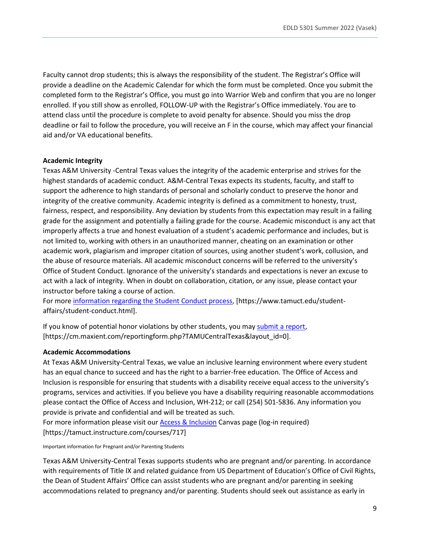Faculty cannot drop students; this is always the responsibility of the student. The Registrar's Office will provide a deadline on the Academic Calendar for which the form must be completed. Once you submit the completed form to the Registrar's Office, you must go into Warrior Web and confirm that you are no longer enrolled. If you still show as enrolled, FOLLOW-UP with the Registrar's Office immediately. You are to attend class until the procedure is complete to avoid penalty for absence. Should you miss the drop deadline or fail to follow the procedure, you will receive an F in the course, which may affect your financial aid and/or VA educational benefits.

#### **Academic Integrity**

Texas A&M University -Central Texas values the integrity of the academic enterprise and strives for the highest standards of academic conduct. A&M-Central Texas expects its students, faculty, and staff to support the adherence to high standards of personal and scholarly conduct to preserve the honor and integrity of the creative community. Academic integrity is defined as a commitment to honesty, trust, fairness, respect, and responsibility. Any deviation by students from this expectation may result in a failing grade for the assignment and potentially a failing grade for the course. Academic misconduct is any act that improperly affects a true and honest evaluation of a student's academic performance and includes, but is not limited to, working with others in an unauthorized manner, cheating on an examination or other academic work, plagiarism and improper citation of sources, using another student's work, collusion, and the abuse of resource materials. All academic misconduct concerns will be referred to the university's Office of Student Conduct. Ignorance of the university's standards and expectations is never an excuse to act with a lack of integrity. When in doubt on collaboration, citation, or any issue, please contact your instructor before taking a course of action.

For mor[e information regarding the Student Conduct process,](https://www.tamuct.edu/student-affairs/student-conduct.html) [https://www.tamuct.edu/studentaffairs/student-conduct.html].

If you know of potential honor violations by other students, you may [submit a report,](https://cm.maxient.com/reportingform.php?TAMUCentralTexas&layout_id=0) [https://cm.maxient.com/reportingform.php?TAMUCentralTexas&layout\_id=0].

#### **Academic Accommodations**

At Texas A&M University-Central Texas, we value an inclusive learning environment where every student has an equal chance to succeed and has the right to a barrier-free education. The Office of Access and Inclusion is responsible for ensuring that students with a disability receive equal access to the university's programs, services and activities. If you believe you have a disability requiring reasonable accommodations please contact the Office of Access and Inclusion, WH-212; or call (254) 501-5836. Any information you provide is private and confidential and will be treated as such.

For more information please visit our [Access & Inclusion](https://tamuct.instructure.com/courses/717) Canvas page (log-in required) [https://tamuct.instructure.com/courses/717]

Important information for Pregnant and/or Parenting Students

Texas A&M University-Central Texas supports students who are pregnant and/or parenting. In accordance with requirements of Title IX and related guidance from US Department of Education's Office of Civil Rights, the Dean of Student Affairs' Office can assist students who are pregnant and/or parenting in seeking accommodations related to pregnancy and/or parenting. Students should seek out assistance as early in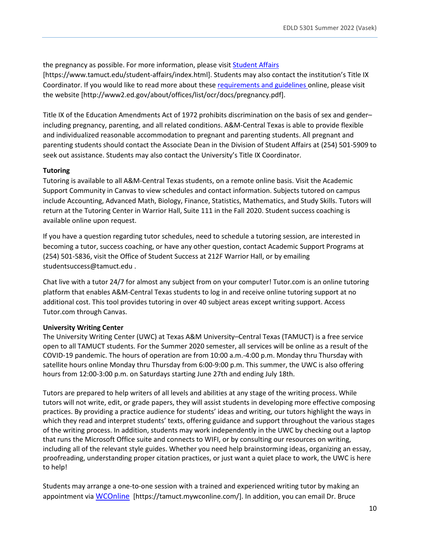the pregnancy as possible. For more information, please visit **Student Affairs** [https://www.tamuct.edu/student-affairs/index.html]. Students may also contact the institution's Title IX Coordinator. If you would like to read more about these [requirements and guidelines](http://www2.ed.gov/about/offices/list/ocr/docs/pregnancy.pdf) online, please visit the website [http://www2.ed.gov/about/offices/list/ocr/docs/pregnancy.pdf].

Title IX of the Education Amendments Act of 1972 prohibits discrimination on the basis of sex and gender– including pregnancy, parenting, and all related conditions. A&M-Central Texas is able to provide flexible and individualized reasonable accommodation to pregnant and parenting students. All pregnant and parenting students should contact the Associate Dean in the Division of Student Affairs at (254) 501-5909 to seek out assistance. Students may also contact the University's Title IX Coordinator.

# **Tutoring**

Tutoring is available to all A&M-Central Texas students, on a remote online basis. Visit the Academic Support Community in Canvas to view schedules and contact information. Subjects tutored on campus include Accounting, Advanced Math, Biology, Finance, Statistics, Mathematics, and Study Skills. Tutors will return at the Tutoring Center in Warrior Hall, Suite 111 in the Fall 2020. Student success coaching is available online upon request.

If you have a question regarding tutor schedules, need to schedule a tutoring session, are interested in becoming a tutor, success coaching, or have any other question, contact Academic Support Programs at (254) 501-5836, visit the Office of Student Success at 212F Warrior Hall, or by emailing studentsuccess@tamuct.edu .

Chat live with a tutor 24/7 for almost any subject from on your computer! Tutor.com is an online tutoring platform that enables A&M-Central Texas students to log in and receive online tutoring support at no additional cost. This tool provides tutoring in over 40 subject areas except writing support. Access Tutor.com through Canvas.

# **University Writing Center**

The University Writing Center (UWC) at Texas A&M University–Central Texas (TAMUCT) is a free service open to all TAMUCT students. For the Summer 2020 semester, all services will be online as a result of the COVID-19 pandemic. The hours of operation are from 10:00 a.m.-4:00 p.m. Monday thru Thursday with satellite hours online Monday thru Thursday from 6:00-9:00 p.m. This summer, the UWC is also offering hours from 12:00-3:00 p.m. on Saturdays starting June 27th and ending July 18th.

Tutors are prepared to help writers of all levels and abilities at any stage of the writing process. While tutors will not write, edit, or grade papers, they will assist students in developing more effective composing practices. By providing a practice audience for students' ideas and writing, our tutors highlight the ways in which they read and interpret students' texts, offering guidance and support throughout the various stages of the writing process. In addition, students may work independently in the UWC by checking out a laptop that runs the Microsoft Office suite and connects to WIFI, or by consulting our resources on writing, including all of the relevant style guides. Whether you need help brainstorming ideas, organizing an essay, proofreading, understanding proper citation practices, or just want a quiet place to work, the UWC is here to help!

Students may arrange a one-to-one session with a trained and experienced writing tutor by making an appointment via [WCOnline](https://tamuct.mywconline.com/) [https://tamuct.mywconline.com/]. In addition, you can email Dr. Bruce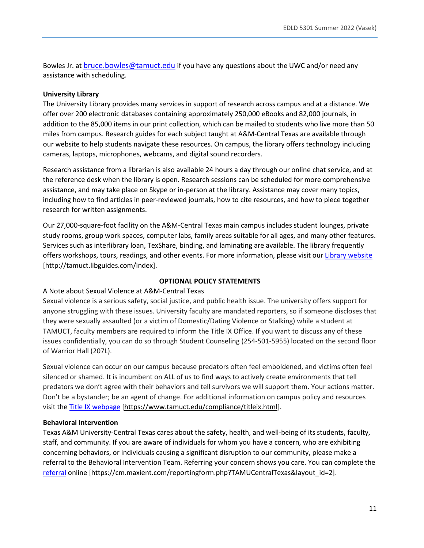Bowles Jr. a[t bruce.bowles@tamuct.edu](mailto:bruce.bowles@tamuct.edu) if you have any questions about the UWC and/or need any assistance with scheduling.

#### **University Library**

The University Library provides many services in support of research across campus and at a distance. We offer over 200 electronic databases containing approximately 250,000 eBooks and 82,000 journals, in addition to the 85,000 items in our print collection, which can be mailed to students who live more than 50 miles from campus. Research guides for each subject taught at A&M-Central Texas are available through our website to help students navigate these resources. On campus, the library offers technology including cameras, laptops, microphones, webcams, and digital sound recorders.

Research assistance from a librarian is also available 24 hours a day through our online chat service, and at the reference desk when the library is open. Research sessions can be scheduled for more comprehensive assistance, and may take place on Skype or in-person at the library. Assistance may cover many topics, including how to find articles in peer-reviewed journals, how to cite resources, and how to piece together research for written assignments.

Our 27,000-square-foot facility on the A&M-Central Texas main campus includes student lounges, private study rooms, group work spaces, computer labs, family areas suitable for all ages, and many other features. Services such as interlibrary loan, TexShare, binding, and laminating are available. The library frequently offers workshops, tours, readings, and other events. For more information, please visit our [Library website](https://tamuct.libguides.com/index) [http://tamuct.libguides.com/index].

#### **OPTIONAL POLICY STATEMENTS**

#### A Note about Sexual Violence at A&M-Central Texas

Sexual violence is a serious safety, social justice, and public health issue. The university offers support for anyone struggling with these issues. University faculty are mandated reporters, so if someone discloses that they were sexually assaulted (or a victim of Domestic/Dating Violence or Stalking) while a student at TAMUCT, faculty members are required to inform the Title IX Office. If you want to discuss any of these issues confidentially, you can do so through Student Counseling (254-501-5955) located on the second floor of Warrior Hall (207L).

Sexual violence can occur on our campus because predators often feel emboldened, and victims often feel silenced or shamed. It is incumbent on ALL of us to find ways to actively create environments that tell predators we don't agree with their behaviors and tell survivors we will support them. Your actions matter. Don't be a bystander; be an agent of change. For additional information on campus policy and resources visit the [Title IX webpage](https://www.tamuct.edu/compliance/titleix.html) [\[https://www.tamuct.edu/compliance/titleix.html\]](https://www.tamuct.edu/compliance/titleix.html).

#### **Behavioral Intervention**

Texas A&M University-Central Texas cares about the safety, health, and well-being of its students, faculty, staff, and community. If you are aware of individuals for whom you have a concern, who are exhibiting concerning behaviors, or individuals causing a significant disruption to our community, please make a referral to the Behavioral Intervention Team. Referring your concern shows you care. You can complete the [referral](https://cm.maxient.com/reportingform.php?TAMUCentralTexas&layout_id=2) online [https://cm.maxient.com/reportingform.php?TAMUCentralTexas&layout\_id=2].